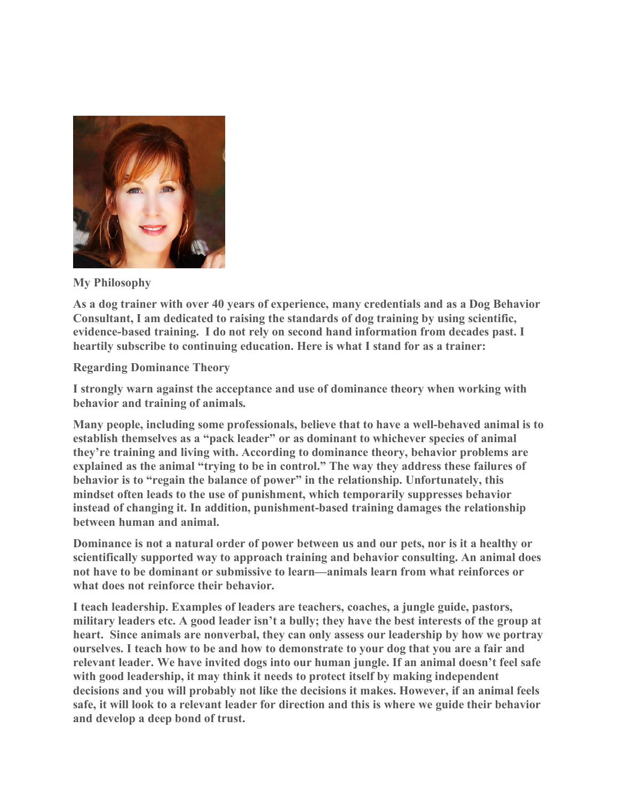

**My Philosophy**

**As a dog trainer with over 40 years of experience, many credentials and as a Dog Behavior Consultant, I am dedicated to raising the standards of dog training by using scientific, evidence-based training. I do not rely on second hand information from decades past. I heartily subscribe to continuing education. Here is what I stand for as a trainer:**

**Regarding Dominance Theory**

**I strongly warn against the acceptance and use of dominance theory when working with behavior and training of animals.**

**Many people, including some professionals, believe that to have a well-behaved animal is to establish themselves as a "pack leader" or as dominant to whichever species of animal they're training and living with. According to dominance theory, behavior problems are explained as the animal "trying to be in control." The way they address these failures of behavior is to "regain the balance of power" in the relationship. Unfortunately, this mindset often leads to the use of punishment, which temporarily suppresses behavior instead of changing it. In addition, punishment-based training damages the relationship between human and animal.**

**Dominance is not a natural order of power between us and our pets, nor is it a healthy or scientifically supported way to approach training and behavior consulting. An animal does not have to be dominant or submissive to learn—animals learn from what reinforces or what does not reinforce their behavior.**

**I teach leadership. Examples of leaders are teachers, coaches, a jungle guide, pastors, military leaders etc. A good leader isn't a bully; they have the best interests of the group at heart. Since animals are nonverbal, they can only assess our leadership by how we portray ourselves. I teach how to be and how to demonstrate to your dog that you are a fair and relevant leader. We have invited dogs into our human jungle. If an animal doesn't feel safe with good leadership, it may think it needs to protect itself by making independent decisions and you will probably not like the decisions it makes. However, if an animal feels safe, it will look to a relevant leader for direction and this is where we guide their behavior and develop a deep bond of trust.**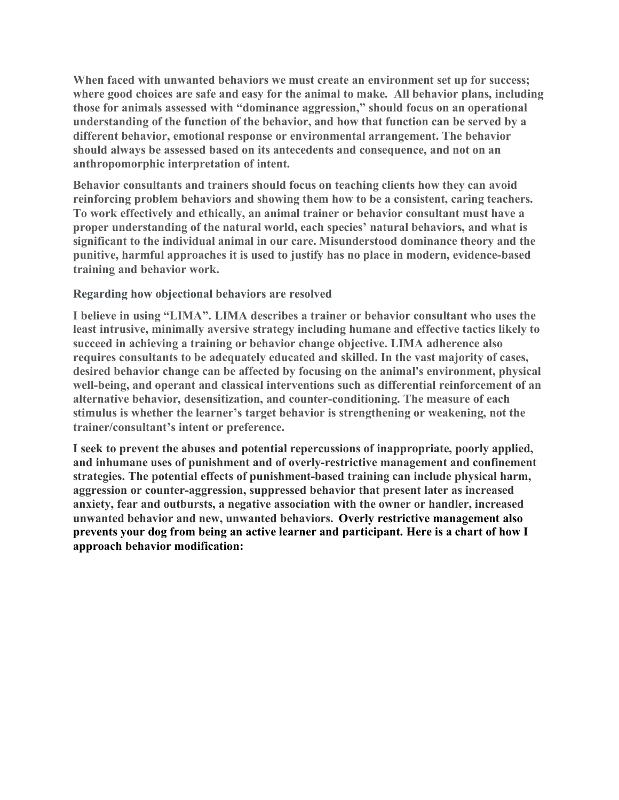**When faced with unwanted behaviors we must create an environment set up for success; where good choices are safe and easy for the animal to make. All behavior plans, including those for animals assessed with "dominance aggression," should focus on an operational understanding of the function of the behavior, and how that function can be served by a different behavior, emotional response or environmental arrangement. The behavior should always be assessed based on its antecedents and consequence, and not on an anthropomorphic interpretation of intent.**

**Behavior consultants and trainers should focus on teaching clients how they can avoid reinforcing problem behaviors and showing them how to be a consistent, caring teachers. To work effectively and ethically, an animal trainer or behavior consultant must have a proper understanding of the natural world, each species' natural behaviors, and what is significant to the individual animal in our care. Misunderstood dominance theory and the punitive, harmful approaches it is used to justify has no place in modern, evidence-based training and behavior work.**

## **Regarding how objectional behaviors are resolved**

**I believe in using "LIMA". LIMA describes a trainer or behavior consultant who uses the least intrusive, minimally aversive strategy including humane and effective tactics likely to succeed in achieving a training or behavior change objective. LIMA adherence also requires consultants to be adequately educated and skilled. In the vast majority of cases, desired behavior change can be affected by focusing on the animal's environment, physical well-being, and operant and classical interventions such as differential reinforcement of an alternative behavior, desensitization, and counter-conditioning. The measure of each stimulus is whether the learner's target behavior is strengthening or weakening, not the trainer/consultant's intent or preference.**

**I seek to prevent the abuses and potential repercussions of inappropriate, poorly applied, and inhumane uses of punishment and of overly-restrictive management and confinement strategies. The potential effects of punishment-based training can include physical harm, aggression or counter-aggression, suppressed behavior that present later as increased anxiety, fear and outbursts, a negative association with the owner or handler, increased unwanted behavior and new, unwanted behaviors. Overly restrictive management also prevents your dog from being an active learner and participant. Here is a chart of how I approach behavior modification:**